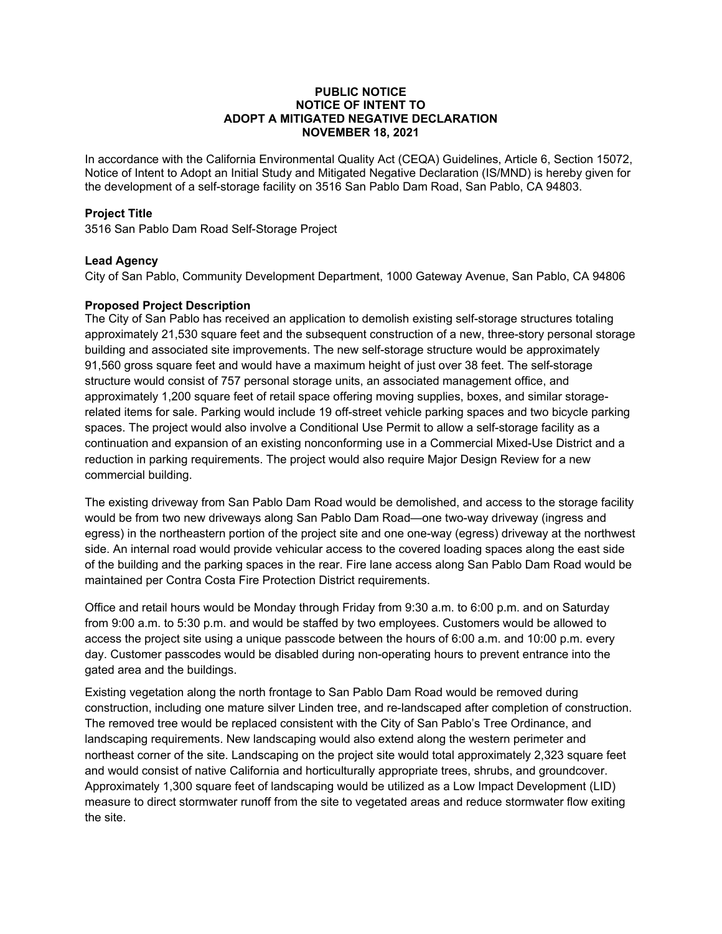### **PUBLIC NOTICE NOTICE OF INTENT TO ADOPT A MITIGATED NEGATIVE DECLARATION NOVEMBER 18, 2021**

In accordance with the California Environmental Quality Act (CEQA) Guidelines, Article 6, Section 15072, Notice of Intent to Adopt an Initial Study and Mitigated Negative Declaration (IS/MND) is hereby given for the development of a self-storage facility on 3516 San Pablo Dam Road, San Pablo, CA 94803.

# **Project Title**

3516 San Pablo Dam Road Self-Storage Project

# **Lead Agency**

City of San Pablo, Community Development Department, 1000 Gateway Avenue, San Pablo, CA 94806

# **Proposed Project Description**

The City of San Pablo has received an application to demolish existing self-storage structures totaling approximately 21,530 square feet and the subsequent construction of a new, three-story personal storage building and associated site improvements. The new self-storage structure would be approximately 91,560 gross square feet and would have a maximum height of just over 38 feet. The self-storage structure would consist of 757 personal storage units, an associated management office, and approximately 1,200 square feet of retail space offering moving supplies, boxes, and similar storagerelated items for sale. Parking would include 19 off-street vehicle parking spaces and two bicycle parking spaces. The project would also involve a Conditional Use Permit to allow a self-storage facility as a continuation and expansion of an existing nonconforming use in a Commercial Mixed-Use District and a reduction in parking requirements. The project would also require Major Design Review for a new commercial building.

The existing driveway from San Pablo Dam Road would be demolished, and access to the storage facility would be from two new driveways along San Pablo Dam Road—one two-way driveway (ingress and egress) in the northeastern portion of the project site and one one-way (egress) driveway at the northwest side. An internal road would provide vehicular access to the covered loading spaces along the east side of the building and the parking spaces in the rear. Fire lane access along San Pablo Dam Road would be maintained per Contra Costa Fire Protection District requirements.

Office and retail hours would be Monday through Friday from 9:30 a.m. to 6:00 p.m. and on Saturday from 9:00 a.m. to 5:30 p.m. and would be staffed by two employees. Customers would be allowed to access the project site using a unique passcode between the hours of 6:00 a.m. and 10:00 p.m. every day. Customer passcodes would be disabled during non-operating hours to prevent entrance into the gated area and the buildings.

Existing vegetation along the north frontage to San Pablo Dam Road would be removed during construction, including one mature silver Linden tree, and re-landscaped after completion of construction. The removed tree would be replaced consistent with the City of San Pablo's Tree Ordinance, and landscaping requirements. New landscaping would also extend along the western perimeter and northeast corner of the site. Landscaping on the project site would total approximately 2,323 square feet and would consist of native California and horticulturally appropriate trees, shrubs, and groundcover. Approximately 1,300 square feet of landscaping would be utilized as a Low Impact Development (LID) measure to direct stormwater runoff from the site to vegetated areas and reduce stormwater flow exiting the site.